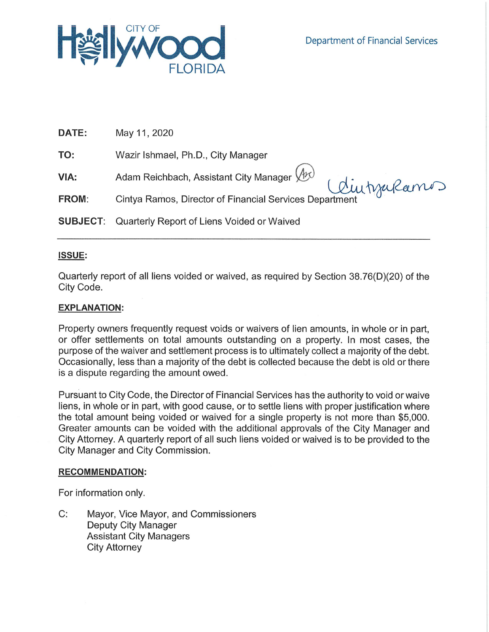

| DATE:           | May 11, 2020                                                                                          |
|-----------------|-------------------------------------------------------------------------------------------------------|
| TO:             | Wazir Ishmael, Ph.D., City Manager                                                                    |
| VIA:            | Adam Reichbach, Assistant City Manager (h)<br>Cintya Ramos, Director of Financial Services Department |
| <b>FROM:</b>    |                                                                                                       |
| <b>SUBJECT:</b> | Quarterly Report of Liens Voided or Waived                                                            |

# **ISSUE:**

Quarterly report of all liens voided or waived, as required by Section 38.76(D)(20) of the City Code.

## **EXPLANATION:**

Property owners frequently request voids or waivers of lien amounts, in whole or in part, or offer settlements on total amounts outstanding on a property. In most cases, the purpose of the waiver and settlement process is to ultimately collect a majority of the debt. Occasionally, less than a majority of the debt is collected because the debt is old or there is a dispute regarding the amount owed.

Pursuant to City Code, the Director of Financial Services has the authority to void or waive liens, in whole or in part, with good cause, or to settle liens with proper justification where the total amount being voided or waived for a single property is not more than \$5,000. Greater amounts can be voided with the additional approvals of the City Manager and City Attorney. A quarterly report of all such liens voided or waived is to be provided to the City Manager and City Commission.

### **RECOMMENDATION:**

For information only.

C: Mayor, Vice Mayor, and Commissioners Deputy City Manager **Assistant City Managers City Attorney**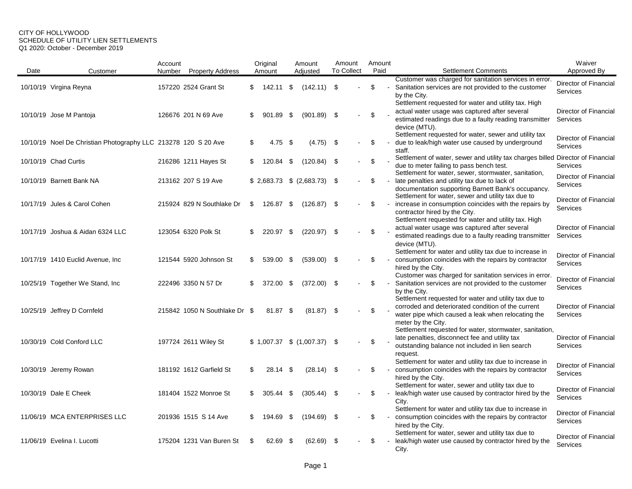#### CITY OF HOLLYWOOD SCHEDULE OF UTILITY LIEN SETTLEMENTS Q1 2020: October - December 2019

|      |                                                                | Account |                               |    | Original  |      | Amount                        | Amount            |        | Amount |                                                                                                                                                                                                      | Waiver                            |
|------|----------------------------------------------------------------|---------|-------------------------------|----|-----------|------|-------------------------------|-------------------|--------|--------|------------------------------------------------------------------------------------------------------------------------------------------------------------------------------------------------------|-----------------------------------|
| Date | Customer                                                       | Number  | <b>Property Address</b>       |    | Amount    |      | Adjusted                      | <b>To Collect</b> |        | Paid   | <b>Settlement Comments</b>                                                                                                                                                                           | Approved By                       |
|      | 10/10/19 Virgina Reyna                                         |         | 157220 2524 Grant St          | \$ | 142.11 \$ |      | $(142.11)$ \$                 |                   |        | \$     | Customer was charged for sanitation services in error.<br>Sanitation services are not provided to the customer<br>by the City.                                                                       | Director of Financial<br>Services |
|      | 10/10/19 Jose M Pantoja                                        |         | 126676 201 N 69 Ave           | \$ | 901.89 \$ |      | (901.89)                      | - \$              |        | \$     | Settlement requested for water and utility tax. High<br>actual water usage was captured after several<br>estimated readings due to a faulty reading transmitter<br>device (MTU).                     | Director of Financial<br>Services |
|      | 10/10/19 Noel De Christian Photography LLC 213278 120 S 20 Ave |         |                               | \$ | $4.75$ \$ |      | $(4.75)$ \$                   |                   |        | \$     | Settlement requested for water, sewer and utility tax<br>due to leak/high water use caused by underground<br>staff.                                                                                  | Director of Financial<br>Services |
|      | 10/10/19 Chad Curtis                                           |         | 216286 1211 Hayes St          | S. | 120.84 \$ |      | $(120.84)$ \$                 |                   | $\sim$ | \$     | Settlement of water, sewer and utility tax charges billed Director of Financial<br>due to meter failing to pass bench test.<br>Settlement for water, sewer, stormwater, sanitation,                  | <b>Services</b>                   |
|      | 10/10/19 Barnett Bank NA                                       |         | 213162 207 S 19 Ave           |    |           |      | $$2,683.73$ $$ (2,683.73)$ \$ |                   | $\sim$ | \$     | late penalties and utility tax due to lack of<br>documentation supporting Barnett Bank's occupancy.                                                                                                  | Director of Financial<br>Services |
|      | 10/17/19 Jules & Carol Cohen                                   |         | 215924 829 N Southlake Dr     | \$ | 126.87 \$ |      | (126.87)                      | - \$              |        | \$     | Settlement for water, sewer and utility tax due to<br>increase in consumption coincides with the repairs by<br>contractor hired by the City.<br>Settlement requested for water and utility tax. High | Director of Financial<br>Services |
|      | 10/17/19 Joshua & Aidan 6324 LLC                               |         | 123054 6320 Polk St           | \$ | 220.97 \$ |      | $(220.97)$ \$                 |                   |        | \$     | actual water usage was captured after several<br>estimated readings due to a faulty reading transmitter<br>device (MTU).                                                                             | Director of Financial<br>Services |
|      | 10/17/19 1410 Euclid Avenue, Inc.                              |         | 121544 5920 Johnson St        | S. | 539.00 \$ |      | $(539.00)$ \$                 |                   |        | \$     | Settlement for water and utility tax due to increase in<br>consumption coincides with the repairs by contractor<br>hired by the City.<br>Customer was charged for sanitation services in error.      | Director of Financial<br>Services |
|      | 10/25/19 Together We Stand, Inc.                               |         | 222496 3350 N 57 Dr           | \$ | 372.00    | - \$ | (372.00)                      | - \$              |        | \$     | Sanitation services are not provided to the customer<br>by the City.<br>Settlement requested for water and utility tax due to                                                                        | Director of Financial<br>Services |
|      | 10/25/19 Jeffrey D Cornfeld                                    |         | 215842 1050 N Southlake Dr \$ |    | 81.87 \$  |      | $(81.87)$ \$                  |                   |        | \$     | corroded and deteriorated condition of the current<br>water pipe which caused a leak when relocating the<br>meter by the City.<br>Settlement requested for water, stormwater, sanitation,            | Director of Financial<br>Services |
|      | 10/30/19 Cold Conford LLC                                      |         | 197724 2611 Wiley St          |    |           |      | $$1,007.37$ $$ (1,007.37)$ \$ |                   |        | \$     | late penalties, disconnect fee and utility tax<br>outstanding balance not included in lien search<br>request.<br>Settlement for water and utility tax due to increase in                             | Director of Financial<br>Services |
|      | 10/30/19 Jeremy Rowan                                          |         | 181192 1612 Garfield St       | \$ | 28.14 \$  |      | $(28.14)$ \$                  |                   |        | \$     | consumption coincides with the repairs by contractor<br>hired by the City.                                                                                                                           | Director of Financial<br>Services |
|      | 10/30/19 Dale E Cheek                                          |         | 181404 1522 Monroe St         | \$ | 305.44 \$ |      | (305.44)                      | \$                |        | \$     | Settlement for water, sewer and utility tax due to<br>leak/high water use caused by contractor hired by the<br>City.                                                                                 | Director of Financial<br>Services |
|      | 11/06/19 MCA ENTERPRISES LLC                                   |         | 201936 1515 S 14 Ave          | \$ | 194.69    | - \$ | (194.69)                      | - \$              |        | \$     | Settlement for water and utility tax due to increase in<br>consumption coincides with the repairs by contractor<br>hired by the City.<br>Settlement for water, sewer and utility tax due to          | Director of Financial<br>Services |
|      | 11/06/19 Evelina I. Lucotti                                    |         | 175204 1231 Van Buren St      | \$ | 62.69 \$  |      | (62.69)                       | - \$              |        | \$     | leak/high water use caused by contractor hired by the<br>City.                                                                                                                                       | Director of Financial<br>Services |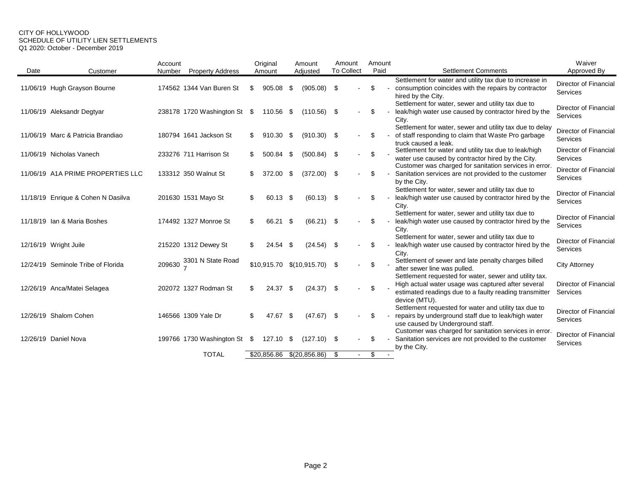#### CITY OF HOLLYWOOD SCHEDULE OF UTILITY LIEN SETTLEMENTS Q1 2020: October - December 2019

|      |                                    | Account |                              |     | Original    |      | Amount                         | Amount            |  | Amount |  |                                                                                                                                                  | Waiver                                   |
|------|------------------------------------|---------|------------------------------|-----|-------------|------|--------------------------------|-------------------|--|--------|--|--------------------------------------------------------------------------------------------------------------------------------------------------|------------------------------------------|
| Date | Customer                           | Number  | <b>Property Address</b>      |     | Amount      |      | Adjusted                       | <b>To Collect</b> |  | Paid   |  | <b>Settlement Comments</b>                                                                                                                       | Approved By                              |
|      | 11/06/19 Hugh Grayson Bourne       |         | 174562 1344 Van Buren St     | S   | 905.08      | - \$ | (905.08)                       | - \$              |  | \$.    |  | Settlement for water and utility tax due to increase in<br>consumption coincides with the repairs by contractor<br>hired by the City.            | Director of Financial<br>Services        |
|      | 11/06/19 Aleksandr Degtyar         |         | 238178 1720 Washington St \$ |     | 110.56 \$   |      | (110.56)                       | - \$              |  | \$     |  | Settlement for water, sewer and utility tax due to<br>leak/high water use caused by contractor hired by the<br>City.                             | Director of Financial<br>Services        |
|      | 11/06/19 Marc & Patricia Brandiao  |         | 180794 1641 Jackson St       | \$. | $910.30$ \$ |      | $(910.30)$ \$                  |                   |  |        |  | Settlement for water, sewer and utility tax due to delay<br>of staff responding to claim that Waste Pro garbage<br>truck caused a leak.          | Director of Financial<br>Services        |
|      | 11/06/19 Nicholas Vanech           |         | 233276 711 Harrison St       | \$. | 500.84      | - \$ | (500.84)                       | - \$              |  |        |  | Settlement for water and utility tax due to leak/high<br>water use caused by contractor hired by the City.                                       | <b>Director of Financial</b><br>Services |
|      | 11/06/19 A1A PRIME PROPERTIES LLC  |         | 133312 350 Walnut St         | S   | 372.00      | -\$  | (372.00)                       | - \$              |  |        |  | Customer was charged for sanitation services in error.<br>Sanitation services are not provided to the customer<br>by the City.                   | Director of Financial<br>Services        |
|      | 11/18/19 Enrique & Cohen N Dasilva |         | 201630 1531 Mayo St          | S   | 60.13 \$    |      | (60.13)                        | - \$              |  |        |  | Settlement for water, sewer and utility tax due to<br>leak/high water use caused by contractor hired by the<br>City.                             | Director of Financial<br>Services        |
|      | 11/18/19 Ian & Maria Boshes        |         | 174492 1327 Monroe St        | S   | 66.21 \$    |      | (66.21)                        | - \$              |  |        |  | Settlement for water, sewer and utility tax due to<br>leak/high water use caused by contractor hired by the<br>City.                             | Director of Financial<br>Services        |
|      | 12/16/19 Wright Juile              |         | 215220 1312 Dewey St         | S   | $24.54$ \$  |      | $(24.54)$ \$                   |                   |  |        |  | Settlement for water, sewer and utility tax due to<br>leak/high water use caused by contractor hired by the<br>City.                             | Director of Financial<br>Services        |
|      | 12/24/19 Seminole Tribe of Florida | 209630  | 3301 N State Road            |     |             |      | $$10,915.70$ $$(10,915.70)$ \$ |                   |  | \$.    |  | Settlement of sewer and late penalty charges billed<br>after sewer line was pulled.<br>Settlement requested for water, sewer and utility tax.    | <b>City Attorney</b>                     |
|      | 12/26/19 Anca/Matei Selagea        |         | 202072 1327 Rodman St        | \$  | $24.37$ \$  |      | $(24.37)$ \$                   |                   |  | \$     |  | High actual water usage was captured after several<br>estimated readings due to a faulty reading transmitter<br>device (MTU).                    | Director of Financial<br>Services        |
|      | 12/26/19 Shalom Cohen              |         | 146566 1309 Yale Dr          | \$  | 47.67 \$    |      | $(47.67)$ \$                   |                   |  | \$.    |  | Settlement requested for water and utility tax due to<br>repairs by underground staff due to leak/high water<br>use caused by Underground staff. | Director of Financial<br>Services        |
|      | 12/26/19 Daniel Nova               |         | 199766 1730 Washington St \$ |     | 127.10 \$   |      | (127.10)                       | - \$              |  |        |  | Customer was charged for sanitation services in error<br>Sanitation services are not provided to the customer<br>by the City.                    | Director of Financial<br>Services        |
|      |                                    |         | <b>TOTAL</b>                 |     | \$20,856.86 |      | $\sqrt{(20, 856.86)}$          | - \$              |  | \$     |  |                                                                                                                                                  |                                          |